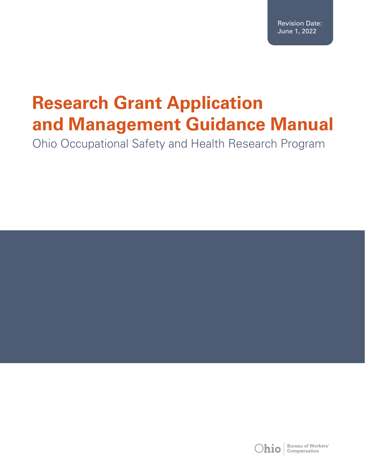Revision Date: June 1, 2022

# **Research Grant Application and Management Guidance Manual**

Ohio Occupational Safety and Health Research Program

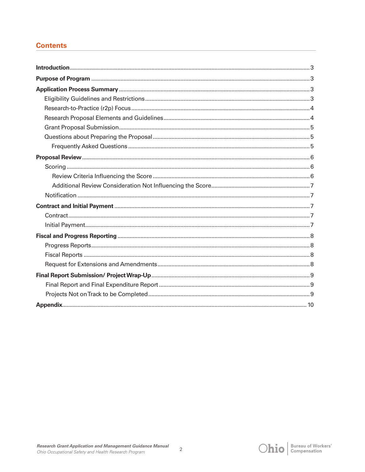## **Contents**



 $\overline{2}$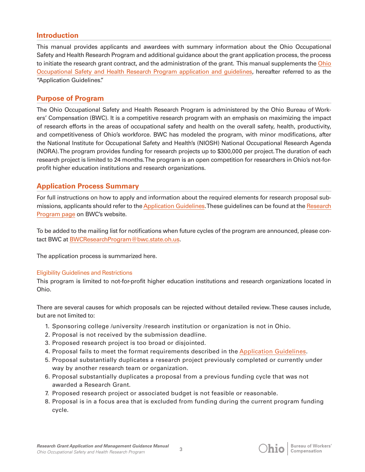## **Introduction**

This manual provides applicants and awardees with summary information about the Ohio Occupational Safety and Health Research Program and additional guidance about the grant application process, the process to initiate the research grant contract, and the administration of the grant. This manual supplements the Ohio [Occupational Safety and Health Research Program application and guidelines,](https://www.bwc.ohio.gov/downloads/blankpdf/OccSafeHlthResearch.pdf) hereafter referred to as the "Application Guidelines."

## **Purpose of Program**

The Ohio Occupational Safety and Health Research Program is administered by the Ohio Bureau of Workers' Compensation (BWC). It is a competitive research program with an emphasis on maximizing the impact of research efforts in the areas of occupational safety and health on the overall safety, health, productivity, and competitiveness of Ohio's workforce. BWC has modeled the program, with minor modifications, after the National Institute for Occupational Safety and Health's (NIOSH) National Occupational Research Agenda (NORA). The program provides funding for research projects up to \$300,000 per project. The duration of each research project is limited to 24 months. The program is an open competition for researchers in Ohio's not-forprofit higher education institutions and research organizations.

# **Application Process Summary**

For full instructions on how to apply and information about the required elements for research proposal submissions, applicants should refer to the [Application Guidelines](https://www.bwc.ohio.gov/downloads/blankpdf/OccSafeHlthResearch.pdf). These guidelines can be found at the [Research](https://info.bwc.ohio.gov/wps/portal/bwc/site/safety/research-and-statistics/safety-and-health-research-program/)  [Program page](https://info.bwc.ohio.gov/wps/portal/bwc/site/safety/research-and-statistics/safety-and-health-research-program/) on BWC's website.

To be added to the mailing list for notifications when future cycles of the program are announced, please contact BWC at [BWCResearchProgram@bwc.state.oh.us](mailto:BWCResearchProgram@bwc.state.oh.us).

The application process is summarized here.

## Eligibility Guidelines and Restrictions

This program is limited to not-for-profit higher education institutions and research organizations located in Ohio.

There are several causes for which proposals can be rejected without detailed review. These causes include, but are not limited to:

- 1. Sponsoring college /university /research institution or organization is not in Ohio.
- 2. Proposal is not received by the submission deadline.
- 3. Proposed research project is too broad or disjointed.
- 4. Proposal fails to meet the format requirements described in the [Application Guidelines.](https://www.bwc.ohio.gov/downloads/blankpdf/OccSafeHlthResearch.pdf)
- 5. Proposal substantially duplicates a research project previously completed or currently under way by another research team or organization.
- 6. Proposal substantially duplicates a proposal from a previous funding cycle that was not awarded a Research Grant.
- 7. Proposed research project or associated budget is not feasible or reasonable.
- 8. Proposal is in a focus area that is excluded from funding during the current program funding cycle.

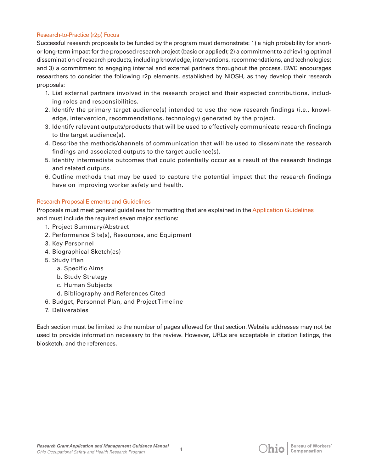#### Research-to-Practice (r2p) Focus

Successful research proposals to be funded by the program must demonstrate: 1) a high probability for shortor long-term impact for the proposed research project (basic or applied); 2) a commitment to achieving optimal dissemination of research products, including knowledge, interventions, recommendations, and technologies; and 3) a commitment to engaging internal and external partners throughout the process. BWC encourages researchers to consider the following r2p elements, established by NIOSH, as they develop their research proposals:

- 1. List external partners involved in the research project and their expected contributions, including roles and responsibilities.
- 2. Identify the primary target audience(s) intended to use the new research findings (i.e., knowledge, intervention, recommendations, technology) generated by the project.
- 3. Identify relevant outputs/products that will be used to effectively communicate research findings to the target audience(s).
- 4. Describe the methods/channels of communication that will be used to disseminate the research findings and associated outputs to the target audience(s).
- 5. Identify intermediate outcomes that could potentially occur as a result of the research findings and related outputs.
- 6. Outline methods that may be used to capture the potential impact that the research findings have on improving worker safety and health.

## Research Proposal Elements and Guidelines

Proposals must meet general guidelines for formatting that are explained in the [Application Guidelines](https://www.bwc.ohio.gov/downloads/blankpdf/OccSafeHlthResearch.pdf) and must include the required seven major sections:

- 1. Project Summary/Abstract
- 2. Performance Site(s), Resources, and Equipment
- 3. Key Personnel
- 4. Biographical Sketch(es)
- 5. Study Plan
	- a. Specific Aims
	- b. Study Strategy
	- c. Human Subjects
	- d. Bibliography and References Cited
- 6. Budget, Personnel Plan, and Project Timeline
- 7. Deliverables

Each section must be limited to the number of pages allowed for that section. Website addresses may not be used to provide information necessary to the review. However, URLs are acceptable in citation listings, the biosketch, and the references.

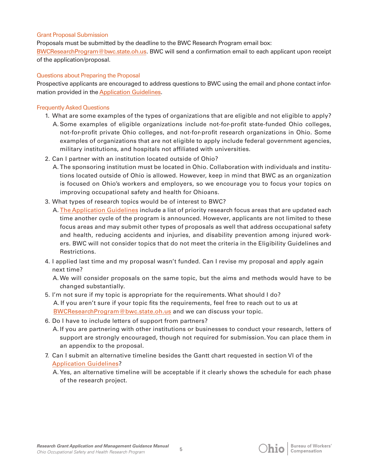#### Grant Proposal Submission

Proposals must be submitted by the deadline to the BWC Research Program email box: [BWCResearchProgram@bwc.state.oh.us.](mailto:BWCResearchProgram@bwc.state.oh.us) BWC will send a confirmation email to each applicant upon receipt of the application/proposal.

#### Questions about Preparing the Proposal

Prospective applicants are encouraged to address questions to BWC using the email and phone contact information provided in the [Application Guidelines.](https://www.bwc.ohio.gov/downloads/blankpdf/OccSafeHlthResearch.pdf)

#### Frequently Asked Questions

- 1. What are some examples of the types of organizations that are eligible and not eligible to apply? A. Some examples of eligible organizations include not-for-profit state-funded Ohio colleges, not-for-profit private Ohio colleges, and not-for-profit research organizations in Ohio. Some examples of organizations that are not eligible to apply include federal government agencies, military institutions, and hospitals not affiliated with universities.
- 2. Can I partner with an institution located outside of Ohio?
	- A. The sponsoring institution must be located in Ohio. Collaboration with individuals and institutions located outside of Ohio is allowed. However, keep in mind that BWC as an organization is focused on Ohio's workers and employers, so we encourage you to focus your topics on improving occupational safety and health for Ohioans.
- 3. What types of research topics would be of interest to BWC?
	- A. [The Application Guidelines](https://www.bwc.ohio.gov/downloads/blankpdf/OccSafeHlthResearch.pdf) include a list of priority research focus areas that are updated each time another cycle of the program is announced. However, applicants are not limited to these focus areas and may submit other types of proposals as well that address occupational safety and health, reducing accidents and injuries, and disability prevention among injured workers. BWC will not consider topics that do not meet the criteria in the Eligibility Guidelines and Restrictions.
- 4. I applied last time and my proposal wasn't funded. Can I revise my proposal and apply again next time?

A. We will consider proposals on the same topic, but the aims and methods would have to be changed substantially.

- 5. I'm not sure if my topic is appropriate for the requirements. What should I do? A. If you aren't sure if your topic fits the requirements, feel free to reach out to us at [BWCResearchProgram@bwc.state.oh.us](mailto:BWCResearchProgram@bwc.state.oh.ushttp://) and we can discuss your topic.
- 6. Do I have to include letters of support from partners?
	- A. If you are partnering with other institutions or businesses to conduct your research, letters of support are strongly encouraged, though not required for submission. You can place them in an appendix to the proposal.
- 7. Can I submit an alternative timeline besides the Gantt chart requested in section VI of the [Application Guidelines](https://www.bwc.ohio.gov/downloads/blankpdf/OccSafeHlthResearch.pdf)?
	- A. Yes, an alternative timeline will be acceptable if it clearly shows the schedule for each phase of the research project.

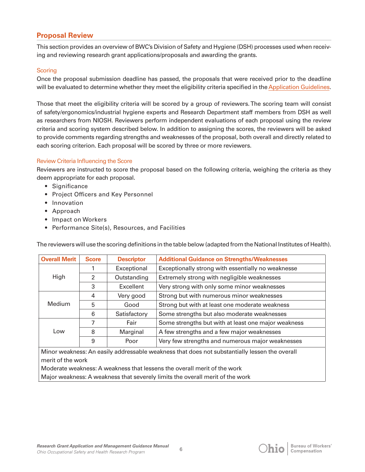# **Proposal Review**

This section provides an overview of BWC's Division of Safety and Hygiene (DSH) processes used when receiving and reviewing research grant applications/proposals and awarding the grants.

#### **Scoring**

Once the proposal submission deadline has passed, the proposals that were received prior to the deadline will be evaluated to determine whether they meet the eligibility criteria specified in the [Application Guidelines](https://www.bwc.ohio.gov/downloads/blankpdf/OccSafeHlthResearch.pdf).

Those that meet the eligibility criteria will be scored by a group of reviewers. The scoring team will consist of safety/ergonomics/industrial hygiene experts and Research Department staff members from DSH as well as researchers from NIOSH. Reviewers perform independent evaluations of each proposal using the review criteria and scoring system described below. In addition to assigning the scores, the reviewers will be asked to provide comments regarding strengths and weaknesses of the proposal, both overall and directly related to each scoring criterion. Each proposal will be scored by three or more reviewers.

#### Review Criteria Influencing the Score

Reviewers are instructed to score the proposal based on the following criteria, weighing the criteria as they deem appropriate for each proposal.

- Significance
- Project Officers and Key Personnel
- Innovation
- Approach
- Impact on Workers
- Performance Site(s), Resources, and Facilities

The reviewers will use the scoring definitions in the table below (adapted from the National Institutes of Health).

| <b>Overall Merit</b>                                                                          | <b>Score</b>   | <b>Descriptor</b> | <b>Additional Guidance on Strengths/Weaknesses</b>  |  |
|-----------------------------------------------------------------------------------------------|----------------|-------------------|-----------------------------------------------------|--|
| High                                                                                          |                | Exceptional       | Exceptionally strong with essentially no weaknesse  |  |
|                                                                                               | $\mathfrak{p}$ | Outstanding       | Extremely strong with negligible weaknesses         |  |
|                                                                                               | 3              | Excellent         | Very strong with only some minor weaknesses         |  |
| Medium                                                                                        | 4              | Very good         | Strong but with numerous minor weaknesses           |  |
|                                                                                               | 5              | Good              | Strong but with at least one moderate weakness      |  |
|                                                                                               | 6              | Satisfactory      | Some strengths but also moderate weaknesses         |  |
| Low                                                                                           | 7              | Fair              | Some strengths but with at least one major weakness |  |
|                                                                                               | 8              | Marginal          | A few strengths and a few major weaknesses          |  |
|                                                                                               | 9              | Poor              | Very few strengths and numerous major weaknesses    |  |
| Minor weakness: An easily addressable weakness that does not substantially lessen the overall |                |                   |                                                     |  |
| merit of the work                                                                             |                |                   |                                                     |  |
| Moderate weakness: A weakness that lessens the overall merit of the work                      |                |                   |                                                     |  |

Major weakness: A weakness that severely limits the overall merit of the work

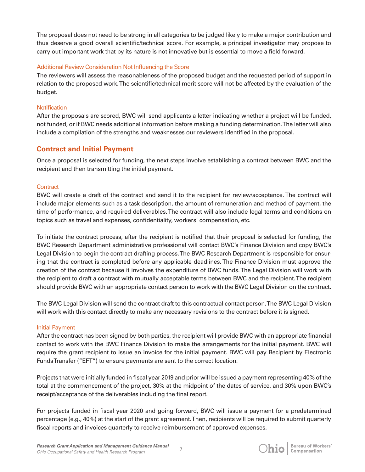The proposal does not need to be strong in all categories to be judged likely to make a major contribution and thus deserve a good overall scientific/technical score. For example, a principal investigator may propose to carry out important work that by its nature is not innovative but is essential to move a field forward.

#### Additional Review Consideration Not Influencing the Score

The reviewers will assess the reasonableness of the proposed budget and the requested period of support in relation to the proposed work. The scientific/technical merit score will not be affected by the evaluation of the budget.

#### **Notification**

After the proposals are scored, BWC will send applicants a letter indicating whether a project will be funded, not funded, or if BWC needs additional information before making a funding determination. The letter will also include a compilation of the strengths and weaknesses our reviewers identified in the proposal.

## **Contract and Initial Payment**

Once a proposal is selected for funding, the next steps involve establishing a contract between BWC and the recipient and then transmitting the initial payment.

## **Contract**

BWC will create a draft of the contract and send it to the recipient for review/acceptance. The contract will include major elements such as a task description, the amount of remuneration and method of payment, the time of performance, and required deliverables. The contract will also include legal terms and conditions on topics such as travel and expenses, confidentiality, workers' compensation, etc.

To initiate the contract process, after the recipient is notified that their proposal is selected for funding, the BWC Research Department administrative professional will contact BWC's Finance Division and copy BWC's Legal Division to begin the contract drafting process. The BWC Research Department is responsible for ensuring that the contract is completed before any applicable deadlines. The Finance Division must approve the creation of the contract because it involves the expenditure of BWC funds. The Legal Division will work with the recipient to draft a contract with mutually acceptable terms between BWC and the recipient. The recipient should provide BWC with an appropriate contact person to work with the BWC Legal Division on the contract.

The BWC Legal Division will send the contract draft to this contractual contact person. The BWC Legal Division will work with this contact directly to make any necessary revisions to the contract before it is signed.

#### Initial Payment

After the contract has been signed by both parties, the recipient will provide BWC with an appropriate financial contact to work with the BWC Finance Division to make the arrangements for the initial payment. BWC will require the grant recipient to issue an invoice for the initial payment. BWC will pay Recipient by Electronic Funds Transfer ("EFT") to ensure payments are sent to the correct location.

Projects that were initially funded in fiscal year 2019 and prior will be issued a payment representing 40% of the total at the commencement of the project, 30% at the midpoint of the dates of service, and 30% upon BWC's receipt/acceptance of the deliverables including the final report.

For projects funded in fiscal year 2020 and going forward, BWC will issue a payment for a predetermined percentage (e.g., 40%) at the start of the grant agreement. Then, recipients will be required to submit quarterly fiscal reports and invoices quarterly to receive reimbursement of approved expenses.

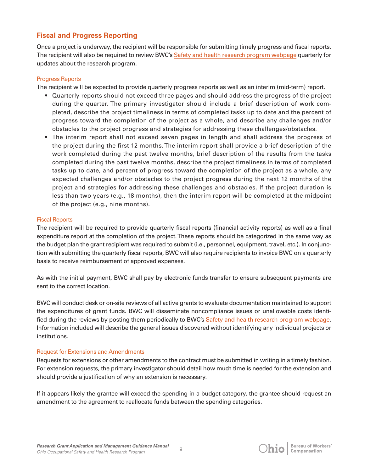# **Fiscal and Progress Reporting**

Once a project is underway, the recipient will be responsible for submitting timely progress and fiscal reports. The recipient will also be required to review BWC's [Safety and health research program webpage](https://info.bwc.ohio.gov/wps/portal/bwc/site/safety/research-and-statistics/safety-and-health-research-program/) quarterly for updates about the research program.

#### Progress Reports

The recipient will be expected to provide quarterly progress reports as well as an interim (mid-term) report.

- Quarterly reports should not exceed three pages and should address the progress of the project during the quarter. The primary investigator should include a brief description of work completed, describe the project timeliness in terms of completed tasks up to date and the percent of progress toward the completion of the project as a whole, and describe any challenges and/or obstacles to the project progress and strategies for addressing these challenges/obstacles.
- The interim report shall not exceed seven pages in length and shall address the progress of the project during the first 12 months. The interim report shall provide a brief description of the work completed during the past twelve months, brief description of the results from the tasks completed during the past twelve months, describe the project timeliness in terms of completed tasks up to date, and percent of progress toward the completion of the project as a whole, any expected challenges and/or obstacles to the project progress during the next 12 months of the project and strategies for addressing these challenges and obstacles. If the project duration is less than two years (e.g., 18 months), then the interim report will be completed at the midpoint of the project (e.g., nine months).

#### Fiscal Reports

The recipient will be required to provide quarterly fiscal reports (financial activity reports) as well as a final expenditure report at the completion of the project. These reports should be categorized in the same way as the budget plan the grant recipient was required to submit (i.e., personnel, equipment, travel, etc.). In conjunction with submitting the quarterly fiscal reports, BWC will also require recipients to invoice BWC on a quarterly basis to receive reimbursement of approved expenses.

As with the initial payment, BWC shall pay by electronic funds transfer to ensure subsequent payments are sent to the correct location.

BWC will conduct desk or on-site reviews of all active grants to evaluate documentation maintained to support the expenditures of grant funds. BWC will disseminate noncompliance issues or unallowable costs identified during the reviews by posting them periodically to BWC's [Safety and health research program webpage](https://info.bwc.ohio.gov/wps/portal/bwc/site/safety/research-and-statistics/safety-and-health-research-program/). Information included will describe the general issues discovered without identifying any individual projects or institutions.

#### Request for Extensions and Amendments

Requests for extensions or other amendments to the contract must be submitted in writing in a timely fashion. For extension requests, the primary investigator should detail how much time is needed for the extension and should provide a justification of why an extension is necessary.

If it appears likely the grantee will exceed the spending in a budget category, the grantee should request an amendment to the agreement to reallocate funds between the spending categories.

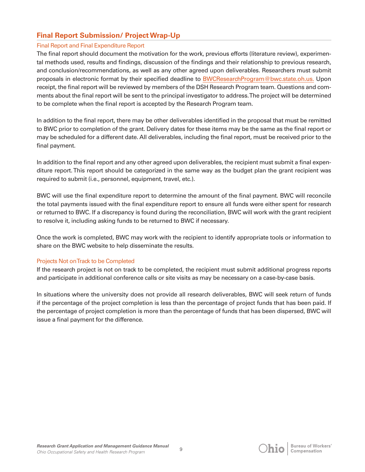# **Final Report Submission/ Project Wrap-Up**

#### Final Report and Final Expenditure Report

The final report should document the motivation for the work, previous efforts (literature review), experimental methods used, results and findings, discussion of the findings and their relationship to previous research, and conclusion/recommendations, as well as any other agreed upon deliverables. Researchers must submit proposals in electronic format by their specified deadline to [BWCResearchProgram@bwc.state.oh.us.](mailto:BWCResearchProgram@bwc.state.oh.us) Upon receipt, the final report will be reviewed by members of the DSH Research Program team. Questions and comments about the final report will be sent to the principal investigator to address. The project will be determined to be complete when the final report is accepted by the Research Program team.

In addition to the final report, there may be other deliverables identified in the proposal that must be remitted to BWC prior to completion of the grant. Delivery dates for these items may be the same as the final report or may be scheduled for a different date. All deliverables, including the final report, must be received prior to the final payment.

In addition to the final report and any other agreed upon deliverables, the recipient must submit a final expenditure report. This report should be categorized in the same way as the budget plan the grant recipient was required to submit (i.e., personnel, equipment, travel, etc.).

BWC will use the final expenditure report to determine the amount of the final payment. BWC will reconcile the total payments issued with the final expenditure report to ensure all funds were either spent for research or returned to BWC. If a discrepancy is found during the reconciliation, BWC will work with the grant recipient to resolve it, including asking funds to be returned to BWC if necessary.

Once the work is completed, BWC may work with the recipient to identify appropriate tools or information to share on the BWC website to help disseminate the results.

## Projects Not on Track to be Completed

If the research project is not on track to be completed, the recipient must submit additional progress reports and participate in additional conference calls or site visits as may be necessary on a case-by-case basis.

In situations where the university does not provide all research deliverables, BWC will seek return of funds if the percentage of the project completion is less than the percentage of project funds that has been paid. If the percentage of project completion is more than the percentage of funds that has been dispersed, BWC will issue a final payment for the difference.



 $\overline{Q}$